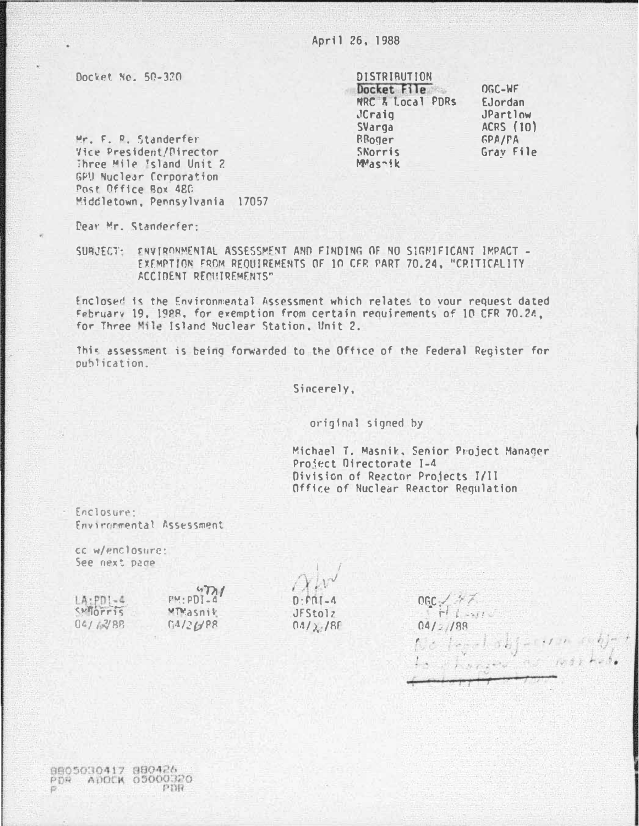April 26, 1988

Docket No. 50-320

**DISTRIBUTION** Docket File NRC & Local PDRs JCraig SVarga RBoger SNorris MMashik

OGC-WF EJordan JPartlow ACRS (10) **GPA/FA** Grav File

Mr. F. R. Standerfer Vice President/Director Three Mile Island Unit 2 GPU Nuclear Corporation Post Office Box 480 Middletown, Pennsylvania 17057

Dear Mr. Standerfer:

SUBJECT: ENVIRONMENTAL ASSESSMENT AND FINDING OF NO SIGNIFICANT IMPACT -EXEMPTION FROM REQUIREMENTS OF 10 CFR PART 70.24, "CRITICALITY ACCIDENT RECUIREMENTS"

Enclosed is the Environmental Assessment which relates to your request dated February 19, 1988, for exemption from certain requirements of 10 CFR 70.24, for Three Mile Island Nuclear Station, Unit 2.

This assessment is being forwarded to the Office of the Federal Register for publication.

Sincerely.

original signed by

Michael T. Masnik, Senior Project Manager Project Directorate I-4 Division of Reactor Projects I/II Office of Nuclear Reactor Regulation

Enclosure: Environmental Assessment

cc w/enclosure: See next page

 $47n1$  $LA:PD1-4$  $PM \cdot PDI - C$  $SMTOFTIS$ wTMasnik  $04/7289$  $04/26/88$ 

 $n \cdot n1 - 4$ JFStolz  $0.112 - 18F$ 

 $OGC \neq \# \neq$  $H$  Levile  $04/2/88$ No local ship-cum ship +<br>Is changed as marked.

8805030417 880426 PDR ADOCK 05000320 PBR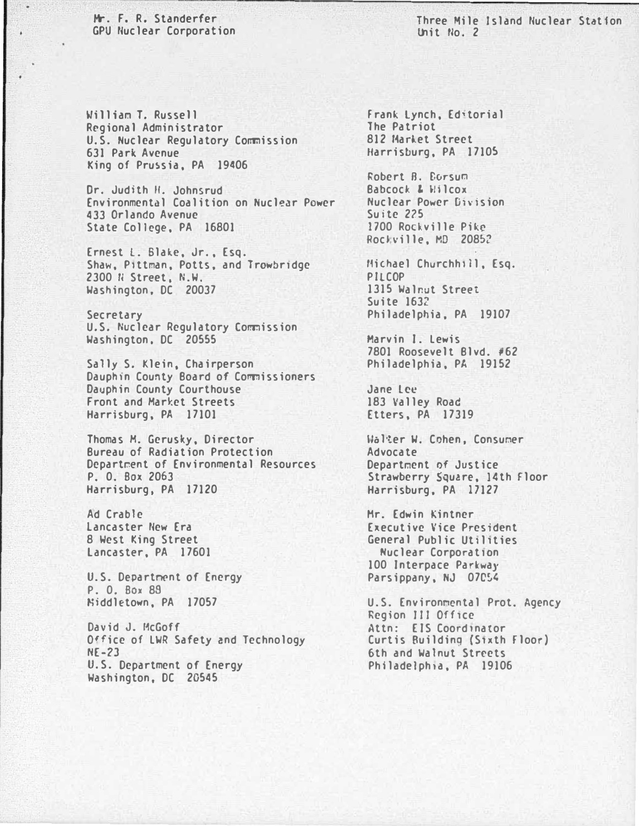Mr. F. R. Standerfer **GPU Nuclear Corporation** 

Three Mile Island Nuclear Station Unit No. 2

William T. Russell Regional Administrator U.S. Nuclear Regulatory Commission 631 Park Avenue King of Prussia, PA 19406

Dr. Judith H. Johnsrud Environmental Coalition on Nuclear Power 433 Orlando Avenue State College, PA 16801

Ernest L. Blake, Jr., Esq. Shaw, Pittman, Potts, and Trowbridge 2300 N Street, N.W. Washington, DC 20037

Secretary U.S. Nuclear Regulatory Commission Washington, DC 20555

Sally S. Klein, Chairperson Dauphin County Board of Commissioners Dauphin County Courthouse Front and Market Streets Harrisburg, PA 17101

Thomas M. Gerusky, Director Bureau of Radiation Protection Department of Environmental Resources P. O. Box 2063 Harrisburg, PA 17120

Ad Crable Lancaster New Era 8 West King Street Lancaster, PA 17601

U.S. Department of Energy P. O. Box 89 Niddletown, PA 17057

David J. McGoff Office of LWR Safety and Technology  $NE-23$ U.S. Department of Energy Washington, DC 20545

Frank Lynch, Editorial The Patriot **812 Market Street** Harrisburg, PA 17105

Robert B. Corsum Babcock & Wilcox Nuclear Power Division Suite 225 1700 Rockville Pike Rockville, MD 20852

Michael Churchhill, Esq. PILCOP 1315 Walnut Street Suite 1632 Philadelphia, PA 19107

Marvin I. Lewis 7801 Roosevelt Blvd. #62 Philadelphia, PA 19152

Jane Lee 183 Valley Road Etters, PA 17319

Walter W. Cohen, Consumer Advocate Department of Justice Strawberry Square, 14th Floor Harrisburg, PA 17127

Mr. Edwin Kintner **Executive Vice President** General Public Utilities Nuclear Corporation 100 Interpace Parkway Parsippany, NJ 07054

U.S. Environmental Prot. Agency Region III Office Attn: EIS Coordinator Curtis Building (Sixth Floor) 6th and Walnut Streets Philadelphia, PA 19106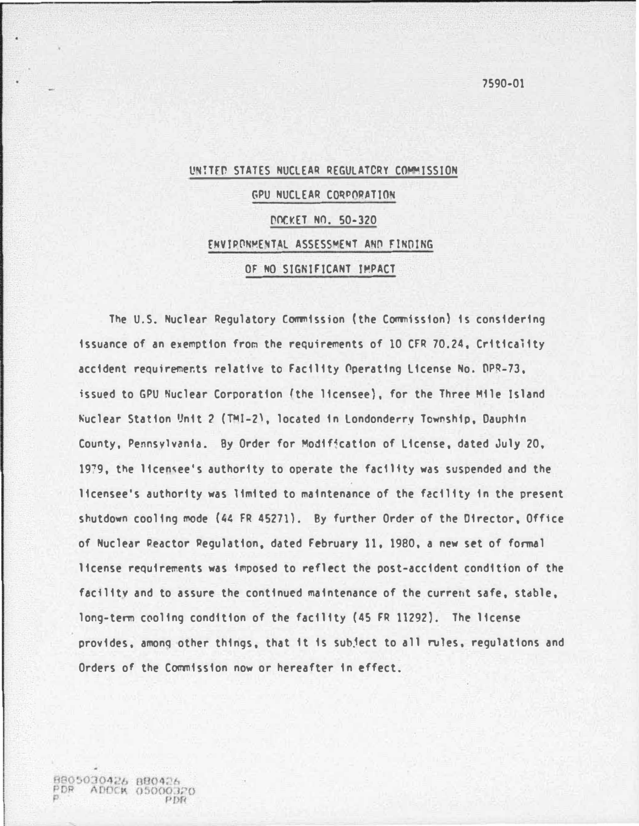# UN!TED STATES NUCLEAR REGULATORY COMMISSION GPU NUCLEAR CQqPORATION DOCKET NO. 50-320 ENV!PONMENTAl ASSESS�ENT ANO FlNOlNG OF NO SIGNIFICANT IMPACT

The U.S. Nuclear Regulatory Commission (the Commission) is considering issuance of an exemption fron the requirements of 10 CFR 70.24, Critica1ity accident requirements relative to Facility Operating License No. DPR-73. issued to GPU Nuclear Corporation (the licensee), for the Three Mile Island Nuclear Station Unit 2 (TMI-2), located in Londonderry Township, Dauphin County, Pennsylvania. By Order for Modif�cation of License, dated July 20, 1979, the licensee's authority to operate the facility was suspended and the licensee's authority was limited to maintenance of the facility in the present shutdown cooling mode (44 FR 45271). By further Order of the Director, Office of Nuclear Reactor Regulation, dated February 11, 1980, a new set of fonmal license requirements was imposed to reflect the post-accident condition of the facility and to assure the continued maintenance of the current safe, stable, long-tern cooling condition of the facility (45 FR 11292). The license provides, amonq other things, that it is sub�ect to all rules. regulations and Orders of the Commission now or hereafter in effect.

8805030426 BB0426 ADDCK 05000320 7590-01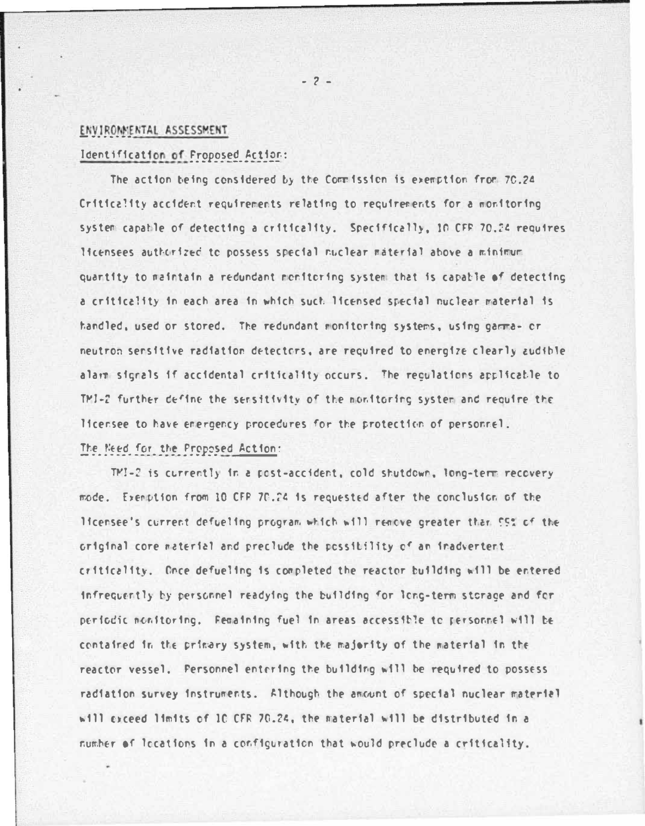# ENVIRONMENTAL ASSESSMENT

# Identification of Proposed Action:

The action being considered by the Commission is exemption from 70.24 Criticality accident requirements relating to requirements for a monitoring system capable of detecting a criticality. Specifically, 10 CFF 70.24 requires licensees authorized to possess special nuclear material above a minimum quantity to maintain a redundant monitoring system that is capable of detecting a criticality in each area in which such licensed special nuclear material is handled, used or stored. The redundant monitoring systems, using gamma- or neutron sensitive radiation detectors, are required to energize clearly audible alarm signals if accidental criticality occurs. The regulations applicable to TM1-2 further define the sensitivity of the monitoring system and require the licensee to have emergency procedures for the protection of personnel. The Need for the Proposed Action:

TMI-2 is currently in a post-accident, cold shutdown, long-term recovery mode. Exemption from 10 CFP 70.24 is requested after the conclusion of the licensee's current defueling program which will renove greater than 55% of the original core material and preclude the possibility of an inadvertent criticality. Once defueling is completed the reactor building will be entered infrequently by personnel readying the building for long-term storage and for periodic nonitoring. Femaining fuel in areas accessible to personnel will be contained in the primary system, with the majority of the material in the reactor vessel, Fersonnel entering the building will be required to possess radiation survey instruments. Although the amount of special nuclear material will exceed limits of 10 CFR 70.24, the material will be distributed in a number of locations in a configuration that would preclude a criticality.

 $-2-$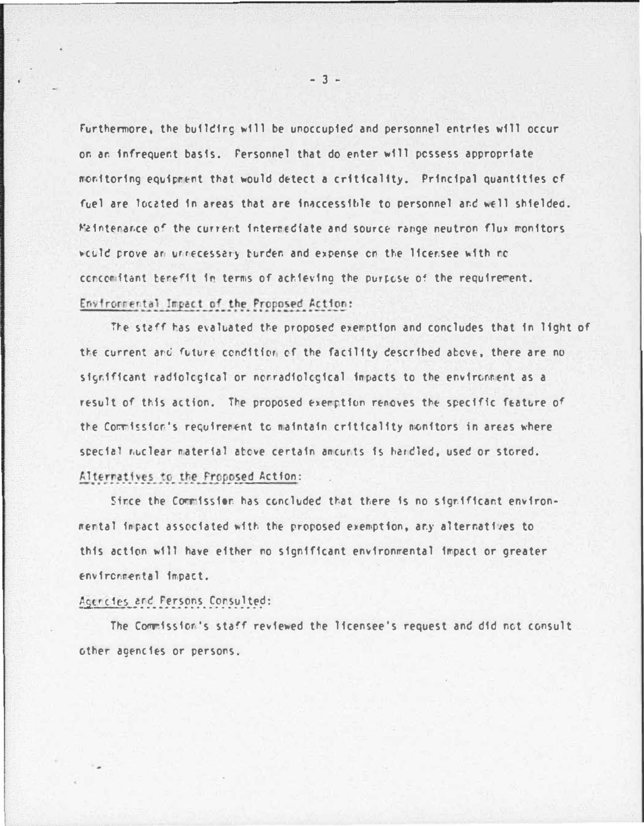Furthermore, the building will be unoccupied and personnel entries will occur on an infrequent basis. Fersonnel that do enter will possess appropriate monitoring equipment that would detect a criticality. Principal quantities of fuel are located in areas that are inaccessible to personnel and well shielded. Maintenance of the current intermediate and source range neutron flux monitors would prove an unnecessary burden and expense on the licensee with no concomitant benefit in terms of achieving the purpose of the requirement. Environmental Impact of the Proposed Action:

The staff has evaluated the proposed exemption and concludes that in light of the current and future condition of the facility described above, there are no significant radiological or nonradiological impacts to the environment as a result of this action. The proposed exemption renoves the specific feature of the Commission's requirement to maintain criticality monitors in areas where special nuclear material above certain amounts is hardled, used or stored. Alternatives to the Proposed Action:

Since the Commission has concluded that there is no significant environmental impact associated with the proposed exemption, any alternatives to this action will have either no significant environmental impact or greater environmental impact.

### Agencies and Persons Consulted:

The Commission's staff reviewed the licensee's request and did not consult other agencies or persons.

 $-3 -$